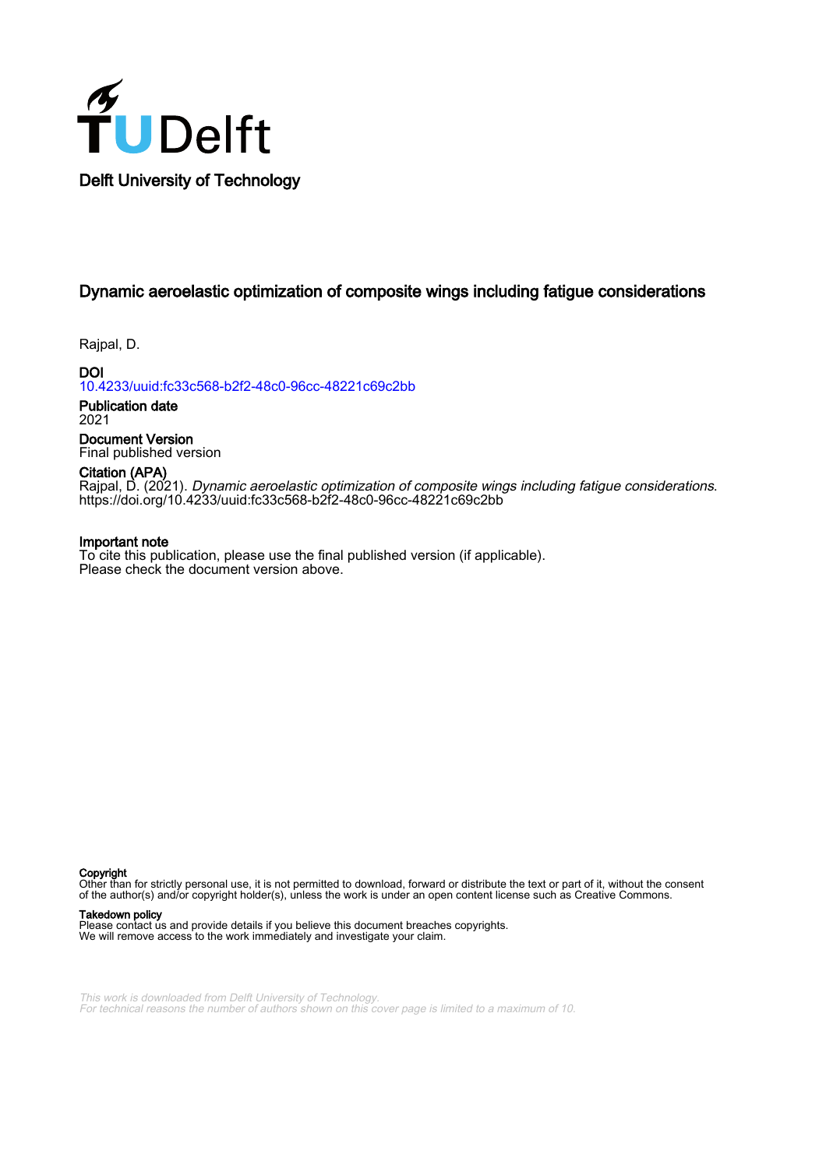

# Dynamic aeroelastic optimization of composite wings including fatigue considerations

Rajpal, D.

DOI [10.4233/uuid:fc33c568-b2f2-48c0-96cc-48221c69c2bb](https://doi.org/10.4233/uuid:fc33c568-b2f2-48c0-96cc-48221c69c2bb)

Publication date 2021

Document Version Final published version

Citation (APA)

Rajpal, D. (2021). Dynamic aeroelastic optimization of composite wings including fatigue considerations. <https://doi.org/10.4233/uuid:fc33c568-b2f2-48c0-96cc-48221c69c2bb>

#### Important note

To cite this publication, please use the final published version (if applicable). Please check the document version above.

Copyright

Other than for strictly personal use, it is not permitted to download, forward or distribute the text or part of it, without the consent of the author(s) and/or copyright holder(s), unless the work is under an open content license such as Creative Commons.

#### Takedown policy

Please contact us and provide details if you believe this document breaches copyrights. We will remove access to the work immediately and investigate your claim.

This work is downloaded from Delft University of Technology. For technical reasons the number of authors shown on this cover page is limited to a maximum of 10.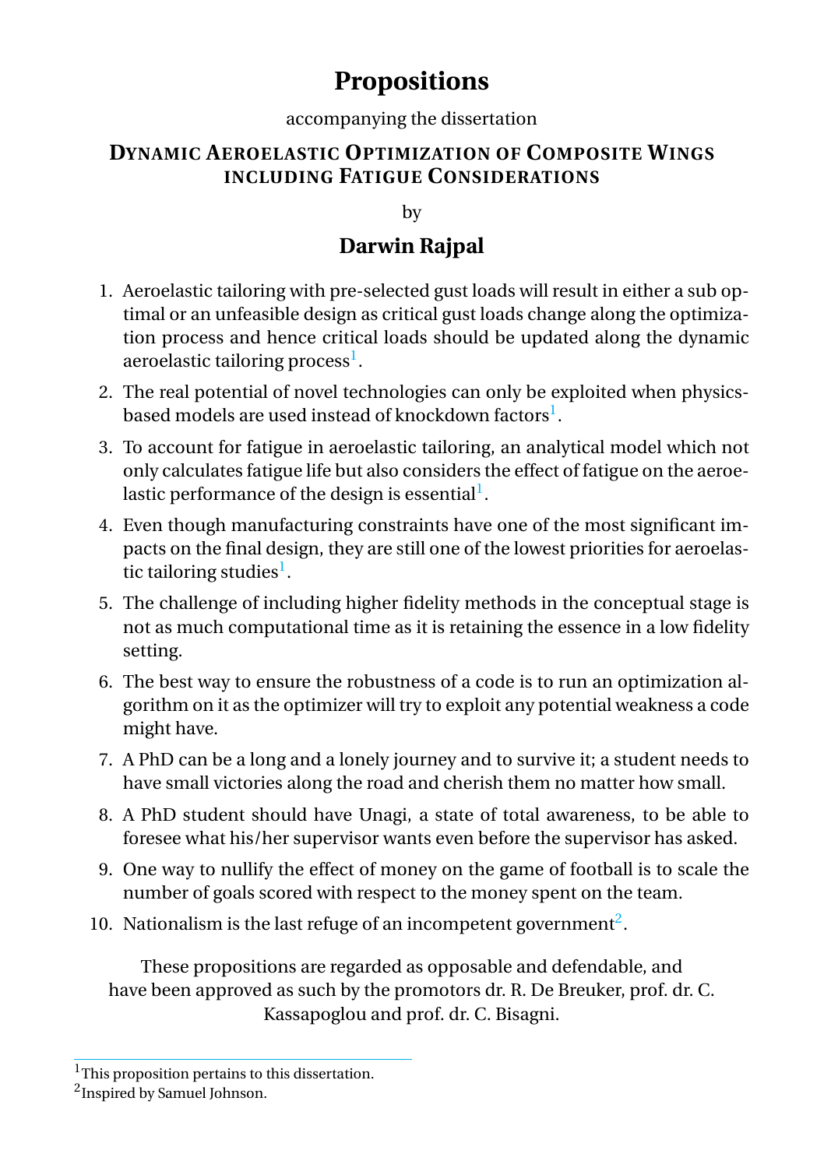# **Propositions**

#### accompanying the dissertation

## **DYNAMIC AEROELASTIC OPTIMIZATION OF COMPOSITE WINGS INCLUDING FATIGUE CONSIDERATIONS**

by

## **Darwin Rajpal**

- 1. Aeroelastic tailoring with pre-selected gust loads will result in either a sub optimal or an unfeasible design as critical gust loads change along the optimization process and hence critical loads should be updated along the dynamic aeroelastic tailoring process<sup>[1](#page-1-0)</sup>.
- 2. The real potential of novel technologies can only be exploited when physicsbased models are used instead of knockdown factors $^{\rm l}$ .
- 3. To account for fatigue in aeroelastic tailoring, an analytical model which not only calculates fatigue life but also considers the effect of fatigue on the aeroelastic performance of the design is essential $^{\rm l}$  .
- 4. Even though manufacturing constraints have one of the most significant impacts on the final design, they are still one of the lowest priorities for aeroelas-tic tailoring studies<sup>[1](#page-1-0)</sup>.
- 5. The challenge of including higher fidelity methods in the conceptual stage is not as much computational time as it is retaining the essence in a low fidelity setting.
- 6. The best way to ensure the robustness of a code is to run an optimization algorithm on it as the optimizer will try to exploit any potential weakness a code might have.
- 7. A PhD can be a long and a lonely journey and to survive it; a student needs to have small victories along the road and cherish them no matter how small.
- 8. A PhD student should have Unagi, a state of total awareness, to be able to foresee what his/her supervisor wants even before the supervisor has asked.
- 9. One way to nullify the effect of money on the game of football is to scale the number of goals scored with respect to the money spent on the team.
- 10. Nationalism is the last refuge of an incompetent government<sup>[2](#page-1-1)</sup>.

These propositions are regarded as opposable and defendable, and have been approved as such by the promotors dr. R. De Breuker, prof. dr. C. Kassapoglou and prof. dr. C. Bisagni.

<span id="page-1-0"></span><sup>&</sup>lt;sup>1</sup>This proposition pertains to this dissertation.

<span id="page-1-1"></span><sup>&</sup>lt;sup>2</sup> Inspired by Samuel Johnson.